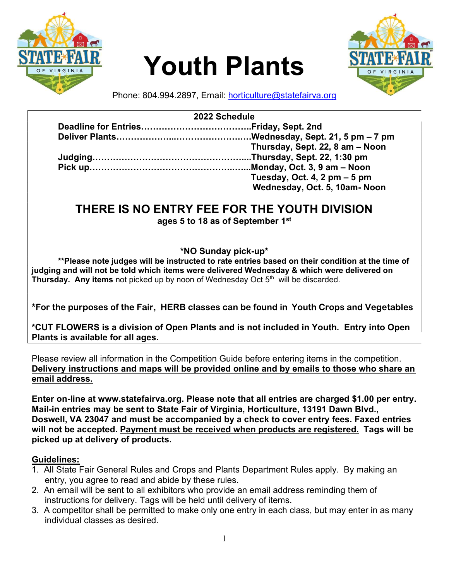

# Youth Plants



Phone: 804.994.2897, Email: horticulture@statefairva.org

|  | 2022 Schedule                   |
|--|---------------------------------|
|  |                                 |
|  |                                 |
|  | Thursday, Sept. 22, 8 am - Noon |
|  |                                 |
|  |                                 |
|  | Tuesday, Oct. 4, 2 $pm - 5$ pm  |
|  | Wednesday, Oct. 5, 10am- Noon   |

# THERE IS NO ENTRY FEE FOR THE YOUTH DIVISION

ages 5 to 18 as of September 1st

# \*NO Sunday pick-up\*

\*\*Please note judges will be instructed to rate entries based on their condition at the time of judging and will not be told which items were delivered Wednesday & which were delivered on **Thursday. Any items** not picked up by noon of Wednesday Oct  $5<sup>th</sup>$  will be discarded.

\*For the purposes of the Fair, HERB classes can be found in Youth Crops and Vegetables

\*CUT FLOWERS is a division of Open Plants and is not included in Youth. Entry into Open Plants is available for all ages.

Please review all information in the Competition Guide before entering items in the competition. Delivery instructions and maps will be provided online and by emails to those who share an email address.

Enter on-line at www.statefairva.org. Please note that all entries are charged \$1.00 per entry. Mail-in entries may be sent to State Fair of Virginia, Horticulture, 13191 Dawn Blvd., Doswell, VA 23047 and must be accompanied by a check to cover entry fees. Faxed entries will not be accepted. Payment must be received when products are registered. Tags will be picked up at delivery of products.

# Guidelines:

- 1. All State Fair General Rules and Crops and Plants Department Rules apply. By making an entry, you agree to read and abide by these rules.
- 2. An email will be sent to all exhibitors who provide an email address reminding them of instructions for delivery. Tags will be held until delivery of items.
- 3. A competitor shall be permitted to make only one entry in each class, but may enter in as many individual classes as desired.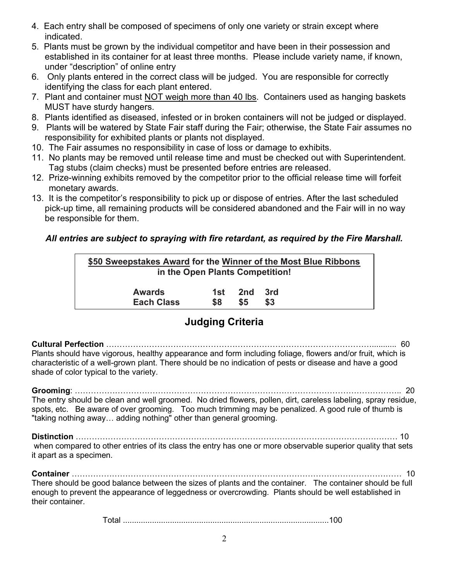- 4. Each entry shall be composed of specimens of only one variety or strain except where indicated.
- 5. Plants must be grown by the individual competitor and have been in their possession and established in its container for at least three months. Please include variety name, if known, under "description" of online entry
- 6. Only plants entered in the correct class will be judged. You are responsible for correctly identifying the class for each plant entered.
- 7. Plant and container must NOT weigh more than 40 lbs. Containers used as hanging baskets MUST have sturdy hangers.
- 8. Plants identified as diseased, infested or in broken containers will not be judged or displayed.
- 9. Plants will be watered by State Fair staff during the Fair; otherwise, the State Fair assumes no responsibility for exhibited plants or plants not displayed.
- 10. The Fair assumes no responsibility in case of loss or damage to exhibits.
- 11. No plants may be removed until release time and must be checked out with Superintendent. Tag stubs (claim checks) must be presented before entries are released.
- 12. Prize-winning exhibits removed by the competitor prior to the official release time will forfeit monetary awards.
- 13. It is the competitor's responsibility to pick up or dispose of entries. After the last scheduled pick-up time, all remaining products will be considered abandoned and the Fair will in no way be responsible for them.

# All entries are subject to spraying with fire retardant, as required by the Fire Marshall.

| \$50 Sweepstakes Award for the Winner of the Most Blue Ribbons<br>in the Open Plants Competition! |     |     |     |  |
|---------------------------------------------------------------------------------------------------|-----|-----|-----|--|
| <b>Awards</b>                                                                                     | 1st | 2nd | 3rd |  |
| <b>Each Class</b>                                                                                 | S8  | \$5 | \$3 |  |

# Judging Criteria

Cultural Perfection ………………………………………………………………………………………........... 60 Plants should have vigorous, healthy appearance and form including foliage, flowers and/or fruit, which is characteristic of a well-grown plant. There should be no indication of pests or disease and have a good shade of color typical to the variety.

Grooming: ………………………………………………………………………………………………………….. 20 The entry should be clean and well groomed. No dried flowers, pollen, dirt, careless labeling, spray residue, spots, etc. Be aware of over grooming. Too much trimming may be penalized. A good rule of thumb is "taking nothing away… adding nothing" other than general grooming.

Distinction ………………………………………………………………………………………………………… 10 when compared to other entries of its class the entry has one or more observable superior quality that sets it apart as a specimen.

Container …………………………………………………………………………………………………………… 10

There should be good balance between the sizes of plants and the container. The container should be full enough to prevent the appearance of leggedness or overcrowding. Plants should be well established in their container.

Total ............................................................................................100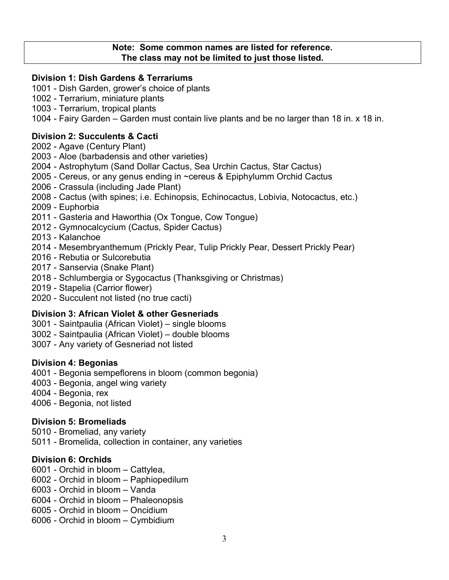#### Note: Some common names are listed for reference. The class may not be limited to just those listed.

#### Division 1: Dish Gardens & Terrariums

- 1001 Dish Garden, grower's choice of plants
- 1002 Terrarium, miniature plants
- 1003 Terrarium, tropical plants
- 1004 Fairy Garden Garden must contain live plants and be no larger than 18 in. x 18 in.

#### Division 2: Succulents & Cacti

- 2002 Agave (Century Plant)
- 2003 Aloe (barbadensis and other varieties)
- 2004 Astrophytum (Sand Dollar Cactus, Sea Urchin Cactus, Star Cactus)
- 2005 Cereus, or any genus ending in ~cereus & Epiphylumm Orchid Cactus
- 2006 Crassula (including Jade Plant)
- 2008 Cactus (with spines; i.e. Echinopsis, Echinocactus, Lobivia, Notocactus, etc.)
- 2009 Euphorbia
- 2011 Gasteria and Haworthia (Ox Tongue, Cow Tongue)
- 2012 Gymnocalcycium (Cactus, Spider Cactus)
- 2013 Kalanchoe
- 2014 Mesembryanthemum (Prickly Pear, Tulip Prickly Pear, Dessert Prickly Pear)
- 2016 Rebutia or Sulcorebutia
- 2017 Sanservia (Snake Plant)
- 2018 Schlumbergia or Sygocactus (Thanksgiving or Christmas)
- 2019 Stapelia (Carrior flower)
- 2020 Succulent not listed (no true cacti)

#### Division 3: African Violet & other Gesneriads

- 3001 Saintpaulia (African Violet) single blooms
- 3002 Saintpaulia (African Violet) double blooms
- 3007 Any variety of Gesneriad not listed

#### Division 4: Begonias

- 4001 Begonia sempeflorens in bloom (common begonia)
- 4003 Begonia, angel wing variety
- 4004 Begonia, rex
- 4006 Begonia, not listed

#### Division 5: Bromeliads

5010 - Bromeliad, any variety 5011 - Bromelida, collection in container, any varieties

#### Division 6: Orchids

- 6001 Orchid in bloom Cattylea,
- 6002 Orchid in bloom Paphiopedilum
- 6003 Orchid in bloom Vanda
- 6004 Orchid in bloom Phaleonopsis
- 6005 Orchid in bloom Oncidium
- 6006 Orchid in bloom Cymbidium